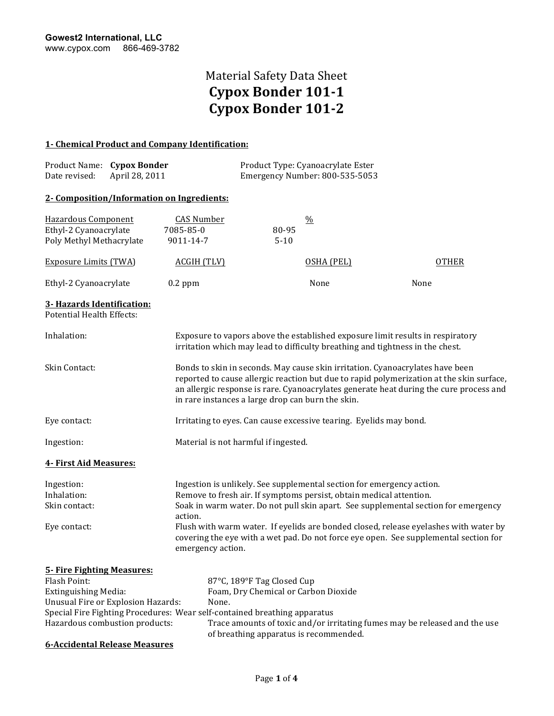### **1- Chemical Product and Company Identification:**

| Date revised:                                                                    | Product Name: Cypox Bonder<br>April 28, 2011 |                                             |                                                                                                                                                                                                                                                                                                                          | Product Type: Cyanoacrylate Ester<br>Emergency Number: 800-535-5053 |                                                                                                                                                                                                                                                                                                                            |  |
|----------------------------------------------------------------------------------|----------------------------------------------|---------------------------------------------|--------------------------------------------------------------------------------------------------------------------------------------------------------------------------------------------------------------------------------------------------------------------------------------------------------------------------|---------------------------------------------------------------------|----------------------------------------------------------------------------------------------------------------------------------------------------------------------------------------------------------------------------------------------------------------------------------------------------------------------------|--|
|                                                                                  | 2- Composition/Information on Ingredients:   |                                             |                                                                                                                                                                                                                                                                                                                          |                                                                     |                                                                                                                                                                                                                                                                                                                            |  |
| Hazardous Component<br>Ethyl-2 Cyanoacrylate<br>Poly Methyl Methacrylate         |                                              | <b>CAS Number</b><br>7085-85-0<br>9011-14-7 | 80-95<br>$5 - 10$                                                                                                                                                                                                                                                                                                        | $\frac{0}{0}$                                                       |                                                                                                                                                                                                                                                                                                                            |  |
| <b>Exposure Limits (TWA)</b>                                                     |                                              | <b>ACGIH (TLV)</b>                          |                                                                                                                                                                                                                                                                                                                          | OSHA (PEL)                                                          | <b>OTHER</b>                                                                                                                                                                                                                                                                                                               |  |
| Ethyl-2 Cyanoacrylate                                                            |                                              | $0.2$ ppm                                   |                                                                                                                                                                                                                                                                                                                          | None                                                                | None                                                                                                                                                                                                                                                                                                                       |  |
| 3- Hazards Identification:<br><b>Potential Health Effects:</b>                   |                                              |                                             |                                                                                                                                                                                                                                                                                                                          |                                                                     |                                                                                                                                                                                                                                                                                                                            |  |
| Inhalation:                                                                      |                                              |                                             |                                                                                                                                                                                                                                                                                                                          |                                                                     | Exposure to vapors above the established exposure limit results in respiratory<br>irritation which may lead to difficulty breathing and tightness in the chest.                                                                                                                                                            |  |
| Skin Contact:                                                                    |                                              |                                             | Bonds to skin in seconds. May cause skin irritation. Cyanoacrylates have been<br>reported to cause allergic reaction but due to rapid polymerization at the skin surface,<br>an allergic response is rare. Cyanoacrylates generate heat during the cure process and<br>in rare instances a large drop can burn the skin. |                                                                     |                                                                                                                                                                                                                                                                                                                            |  |
| Eye contact:                                                                     |                                              |                                             | Irritating to eyes. Can cause excessive tearing. Eyelids may bond.                                                                                                                                                                                                                                                       |                                                                     |                                                                                                                                                                                                                                                                                                                            |  |
| Ingestion:                                                                       |                                              |                                             | Material is not harmful if ingested.                                                                                                                                                                                                                                                                                     |                                                                     |                                                                                                                                                                                                                                                                                                                            |  |
| 4- First Aid Measures:                                                           |                                              |                                             |                                                                                                                                                                                                                                                                                                                          |                                                                     |                                                                                                                                                                                                                                                                                                                            |  |
| Ingestion:<br>Inhalation:<br>Skin contact:<br>Eye contact:                       |                                              | action.                                     |                                                                                                                                                                                                                                                                                                                          |                                                                     | Ingestion is unlikely. See supplemental section for emergency action.<br>Remove to fresh air. If symptoms persist, obtain medical attention.<br>Soak in warm water. Do not pull skin apart. See supplemental section for emergency<br>Flush with warm water. If eyelids are bonded closed, release eyelashes with water by |  |
|                                                                                  |                                              | emergency action.                           |                                                                                                                                                                                                                                                                                                                          |                                                                     | covering the eye with a wet pad. Do not force eye open. See supplemental section for                                                                                                                                                                                                                                       |  |
| <b>5- Fire Fighting Measures:</b><br>Flash Point:<br><b>Extinguishing Media:</b> | Unusual Fire or Explosion Hazards:           | None.                                       | 87°C, 189°F Tag Closed Cup<br>Foam, Dry Chemical or Carbon Dioxide<br>Special Fire Fighting Procedures: Wear self-contained breathing apparatus                                                                                                                                                                          |                                                                     |                                                                                                                                                                                                                                                                                                                            |  |
| Hazardous combustion products:                                                   |                                              |                                             | Trace amounts of toxic and/or irritating fumes may be released and the use<br>of breathing apparatus is recommended.                                                                                                                                                                                                     |                                                                     |                                                                                                                                                                                                                                                                                                                            |  |

#### **6-Accidental Release Measures**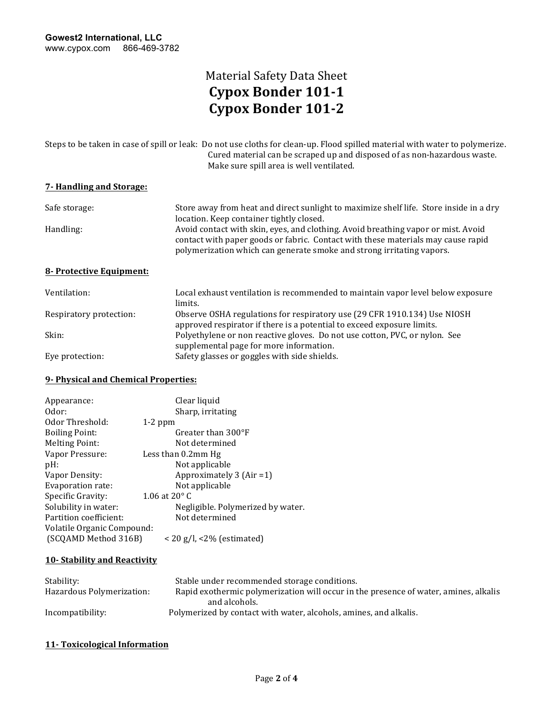| Steps to be taken in case of spill or leak: Do not use cloths for clean-up. Flood spilled material with water to polymerize. |
|------------------------------------------------------------------------------------------------------------------------------|
| Cured material can be scraped up and disposed of as non-hazardous waste.                                                     |
| Make sure spill area is well ventilated.                                                                                     |

#### **7- Handling and Storage:**

| Safe storage:            | Store away from heat and direct sunlight to maximize shelf life. Store inside in a dry<br>location. Keep container tightly closed.                                                                                                             |
|--------------------------|------------------------------------------------------------------------------------------------------------------------------------------------------------------------------------------------------------------------------------------------|
| Handling:                | Avoid contact with skin, eyes, and clothing. Avoid breathing vapor or mist. Avoid<br>contact with paper goods or fabric. Contact with these materials may cause rapid<br>polymerization which can generate smoke and strong irritating vapors. |
| 8- Protective Equipment: |                                                                                                                                                                                                                                                |
| Ventilation:             | Local exhaust ventilation is recommended to maintain vapor level below exposure<br>limits.                                                                                                                                                     |
| Respiratory protection:  | Observe OSHA regulations for respiratory use (29 CFR 1910.134) Use NIOSH<br>approved respirator if there is a potential to exceed exposure limits.                                                                                             |

supplemental page for more information. Safety glasses or goggles with side shields.

| Skin: |                                        | Polyethylene or non reactive gloves. Do not use cotton, PVC, or nylon. See |  |
|-------|----------------------------------------|----------------------------------------------------------------------------|--|
|       | sunnlemental nage for more information |                                                                            |  |

|  | Eye protection: |
|--|-----------------|
|--|-----------------|

### **9- Physical and Chemical Properties:**

| Appearance:                | Clear liquid                      |
|----------------------------|-----------------------------------|
| Odor:                      | Sharp, irritating                 |
| Odor Threshold:            | $1-2$ ppm                         |
| <b>Boiling Point:</b>      | Greater than $300^{\circ}$ F      |
| <b>Melting Point:</b>      | Not determined                    |
| Vapor Pressure:            | Less than 0.2mm Hg                |
| pH:                        | Not applicable                    |
| Vapor Density:             | Approximately 3 (Air = 1)         |
| Evaporation rate:          | Not applicable                    |
| Specific Gravity:          | 1.06 at $20^{\circ}$ C            |
| Solubility in water:       | Negligible. Polymerized by water. |
| Partition coefficient:     | Not determined                    |
| Volatile Organic Compound: |                                   |
| (SCQAMD Method 316B)       | $<$ 20 g/l, $<$ 2% (estimated)    |

#### **10- Stability and Reactivity**

| Stability:                | Stable under recommended storage conditions.                                         |
|---------------------------|--------------------------------------------------------------------------------------|
| Hazardous Polymerization: | Rapid exothermic polymerization will occur in the presence of water, amines, alkalis |
|                           | and alcohols.                                                                        |
| Incompatibility:          | Polymerized by contact with water, alcohols, amines, and alkalis.                    |

#### **11- Toxicological Information**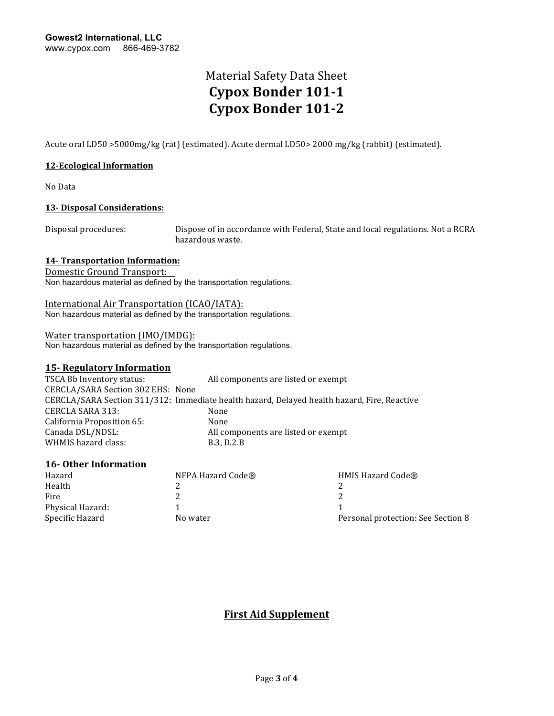Acute oral LD50 >5000mg/kg (rat) (estimated). Acute dermal LD50> 2000 mg/kg (rabbit) (estimated).

#### **12-Ecological Information**

No Data 

#### **13-** Disposal Considerations:

Disposal procedures: Dispose of in accordance with Federal, State and local regulations. Not a RCRA hazardous waste.

#### **14-** Transportation Information:

Domestic Ground Transport:

Non hazardous material as defined by the transportation regulations.

International Air Transportation (ICAO/IATA): Non hazardous material as defined by the transportation regulations.

#### Water transportation (IMO/IMDG):

Non hazardous material as defined by the transportation regulations.

#### **15- Regulatory Information**

TSCA 8b Inventory status: All components are listed or exempt CERCLA/SARA Section 302 EHS: None CERCLA/SARA Section 311/312: Immediate health hazard, Delayed health hazard, Fire, Reactive CERCLA SARA 313: None<br>California Proposition 65: None California Proposition 65: Canada DSL/NDSL: All components are listed or exempt WHMIS hazard class: B.3, D.2.B

#### **16-** Other Information

| NFPA Hazard Code® | HMIS Hazard Code®                  |
|-------------------|------------------------------------|
|                   |                                    |
|                   |                                    |
|                   |                                    |
| No water          | Personal protection: See Section 8 |
|                   |                                    |

### **First Aid Supplement**